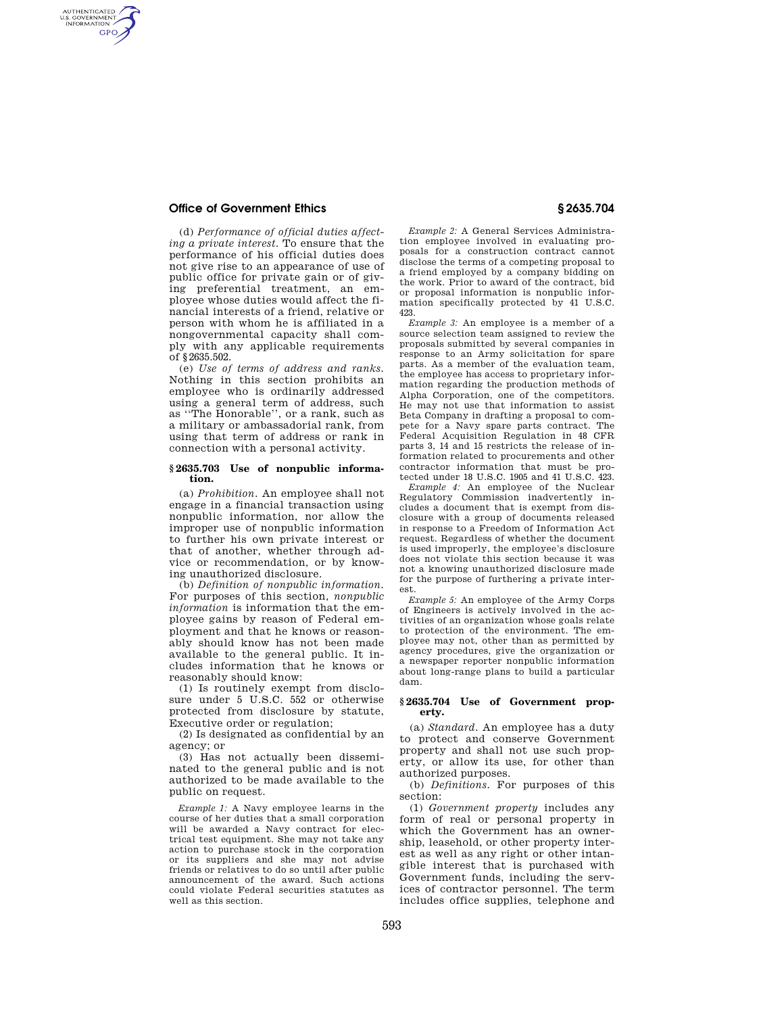# **Office of Government Ethics § 2635.704**

AUTHENTICATED<br>U.S. GOVERNMENT<br>INFORMATION **GPO** 

> (d) *Performance of official duties affecting a private interest.* To ensure that the performance of his official duties does not give rise to an appearance of use of public office for private gain or of giving preferential treatment, an employee whose duties would affect the financial interests of a friend, relative or person with whom he is affiliated in a nongovernmental capacity shall comply with any applicable requirements of §2635.502.

> (e) *Use of terms of address and ranks.*  Nothing in this section prohibits an employee who is ordinarily addressed using a general term of address, such as ''The Honorable'', or a rank, such as a military or ambassadorial rank, from using that term of address or rank in connection with a personal activity.

#### **§ 2635.703 Use of nonpublic information.**

(a) *Prohibition.* An employee shall not engage in a financial transaction using nonpublic information, nor allow the improper use of nonpublic information to further his own private interest or that of another, whether through advice or recommendation, or by knowing unauthorized disclosure.

(b) *Definition of nonpublic information.*  For purposes of this section, *nonpublic information* is information that the employee gains by reason of Federal employment and that he knows or reasonably should know has not been made available to the general public. It includes information that he knows or reasonably should know:

(1) Is routinely exempt from disclosure under 5 U.S.C. 552 or otherwise protected from disclosure by statute, Executive order or regulation;

(2) Is designated as confidential by an agency; or

(3) Has not actually been disseminated to the general public and is not authorized to be made available to the public on request.

*Example 1:* A Navy employee learns in the course of her duties that a small corporation will be awarded a Navy contract for electrical test equipment. She may not take any action to purchase stock in the corporation or its suppliers and she may not advise friends or relatives to do so until after public announcement of the award. Such actions could violate Federal securities statutes as well as this section.

*Example 2:* A General Services Administration employee involved in evaluating proposals for a construction contract cannot disclose the terms of a competing proposal to a friend employed by a company bidding on the work. Prior to award of the contract, bid or proposal information is nonpublic information specifically protected by 41 U.S.C. 423.

*Example 3:* An employee is a member of a source selection team assigned to review the proposals submitted by several companies in response to an Army solicitation for spare parts. As a member of the evaluation team, the employee has access to proprietary information regarding the production methods of Alpha Corporation, one of the competitors. He may not use that information to assist Beta Company in drafting a proposal to compete for a Navy spare parts contract. The Federal Acquisition Regulation in 48 CFR parts 3, 14 and 15 restricts the release of information related to procurements and other contractor information that must be protected under 18 U.S.C. 1905 and 41 U.S.C. 423.

*Example 4:* An employee of the Nuclear Regulatory Commission inadvertently includes a document that is exempt from disclosure with a group of documents released in response to a Freedom of Information Act request. Regardless of whether the document is used improperly, the employee's disclosure does not violate this section because it was not a knowing unauthorized disclosure made for the purpose of furthering a private interest.

*Example 5:* An employee of the Army Corps of Engineers is actively involved in the activities of an organization whose goals relate to protection of the environment. The employee may not, other than as permitted by agency procedures, give the organization or a newspaper reporter nonpublic information about long-range plans to build a particular dam.

### **§ 2635.704 Use of Government property.**

(a) *Standard.* An employee has a duty to protect and conserve Government property and shall not use such property, or allow its use, for other than authorized purposes.

(b) *Definitions.* For purposes of this section:

(1) *Government property* includes any form of real or personal property in which the Government has an ownership, leasehold, or other property interest as well as any right or other intangible interest that is purchased with Government funds, including the services of contractor personnel. The term includes office supplies, telephone and